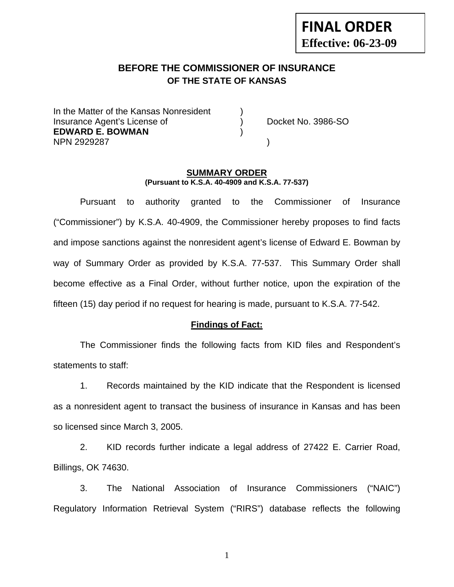# **BEFORE THE COMMISSIONER OF INSURANCE OF THE STATE OF KANSAS**

In the Matter of the Kansas Nonresident Insurance Agent's License of (a) Docket No. 3986-SO **EDWARD E. BOWMAN** ) NPN 2929287 )

#### **SUMMARY ORDER (Pursuant to K.S.A. 40-4909 and K.S.A. 77-537)**

 Pursuant to authority granted to the Commissioner of Insurance ("Commissioner") by K.S.A. 40-4909, the Commissioner hereby proposes to find facts and impose sanctions against the nonresident agent's license of Edward E. Bowman by way of Summary Order as provided by K.S.A. 77-537. This Summary Order shall become effective as a Final Order, without further notice, upon the expiration of the fifteen (15) day period if no request for hearing is made, pursuant to K.S.A. 77-542.

## **Findings of Fact:**

 The Commissioner finds the following facts from KID files and Respondent's statements to staff:

 1. Records maintained by the KID indicate that the Respondent is licensed as a nonresident agent to transact the business of insurance in Kansas and has been so licensed since March 3, 2005.

 2. KID records further indicate a legal address of 27422 E. Carrier Road, Billings, OK 74630.

 3. The National Association of Insurance Commissioners ("NAIC") Regulatory Information Retrieval System ("RIRS") database reflects the following

1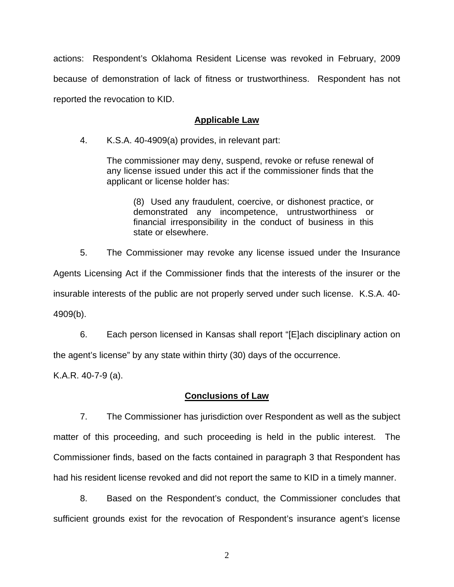actions: Respondent's Oklahoma Resident License was revoked in February, 2009 because of demonstration of lack of fitness or trustworthiness. Respondent has not reported the revocation to KID.

# **Applicable Law**

4. K.S.A. 40-4909(a) provides, in relevant part:

The commissioner may deny, suspend, revoke or refuse renewal of any license issued under this act if the commissioner finds that the applicant or license holder has:

 (8) Used any fraudulent, coercive, or dishonest practice, or demonstrated any incompetence, untrustworthiness or financial irresponsibility in the conduct of business in this state or elsewhere.

5. The Commissioner may revoke any license issued under the Insurance

Agents Licensing Act if the Commissioner finds that the interests of the insurer or the insurable interests of the public are not properly served under such license. K.S.A. 40- 4909(b).

 6. Each person licensed in Kansas shall report "[E]ach disciplinary action on the agent's license" by any state within thirty (30) days of the occurrence.

K.A.R. 40-7-9 (a).

## **Conclusions of Law**

 7. The Commissioner has jurisdiction over Respondent as well as the subject matter of this proceeding, and such proceeding is held in the public interest. The Commissioner finds, based on the facts contained in paragraph 3 that Respondent has had his resident license revoked and did not report the same to KID in a timely manner.

 8. Based on the Respondent's conduct, the Commissioner concludes that sufficient grounds exist for the revocation of Respondent's insurance agent's license

2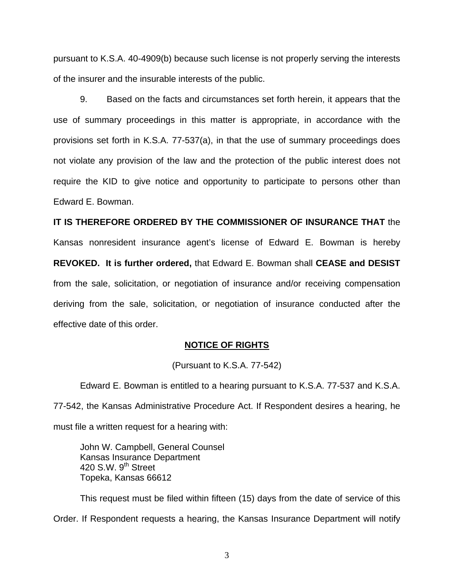pursuant to K.S.A. 40-4909(b) because such license is not properly serving the interests of the insurer and the insurable interests of the public.

 9. Based on the facts and circumstances set forth herein, it appears that the use of summary proceedings in this matter is appropriate, in accordance with the provisions set forth in K.S.A. 77-537(a), in that the use of summary proceedings does not violate any provision of the law and the protection of the public interest does not require the KID to give notice and opportunity to participate to persons other than Edward E. Bowman.

**IT IS THEREFORE ORDERED BY THE COMMISSIONER OF INSURANCE THAT** the Kansas nonresident insurance agent's license of Edward E. Bowman is hereby **REVOKED. It is further ordered,** that Edward E. Bowman shall **CEASE and DESIST** from the sale, solicitation, or negotiation of insurance and/or receiving compensation deriving from the sale, solicitation, or negotiation of insurance conducted after the effective date of this order.

## **NOTICE OF RIGHTS**

(Pursuant to K.S.A. 77-542)

Edward E. Bowman is entitled to a hearing pursuant to K.S.A. 77-537 and K.S.A. 77-542, the Kansas Administrative Procedure Act. If Respondent desires a hearing, he must file a written request for a hearing with:

 John W. Campbell, General Counsel Kansas Insurance Department 420 S.W. 9<sup>th</sup> Street Topeka, Kansas 66612

This request must be filed within fifteen (15) days from the date of service of this Order. If Respondent requests a hearing, the Kansas Insurance Department will notify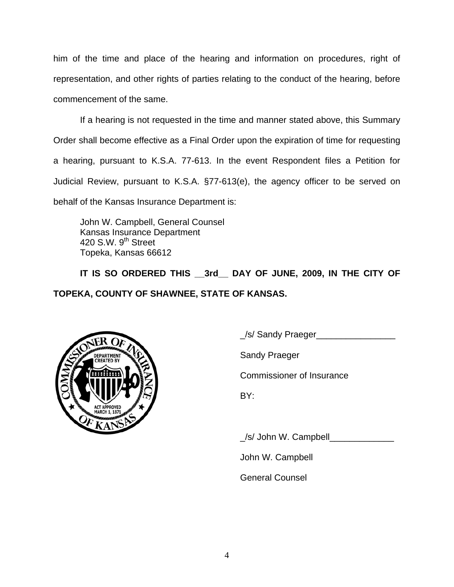him of the time and place of the hearing and information on procedures, right of representation, and other rights of parties relating to the conduct of the hearing, before commencement of the same.

If a hearing is not requested in the time and manner stated above, this Summary Order shall become effective as a Final Order upon the expiration of time for requesting a hearing, pursuant to K.S.A. 77-613. In the event Respondent files a Petition for Judicial Review, pursuant to K.S.A. §77-613(e), the agency officer to be served on behalf of the Kansas Insurance Department is:

 John W. Campbell, General Counsel Kansas Insurance Department 420 S.W. 9<sup>th</sup> Street Topeka, Kansas 66612

IT IS SO ORDERED THIS 3rd DAY OF JUNE, 2009, IN THE CITY OF **TOPEKA, COUNTY OF SHAWNEE, STATE OF KANSAS.** 



\_/s/ Sandy Praeger\_\_\_\_\_\_\_\_\_\_\_\_\_\_\_\_

Commissioner of Insurance

\_/s/ John W. Campbell\_\_\_\_\_\_\_\_\_\_\_\_\_

John W. Campbell

General Counsel